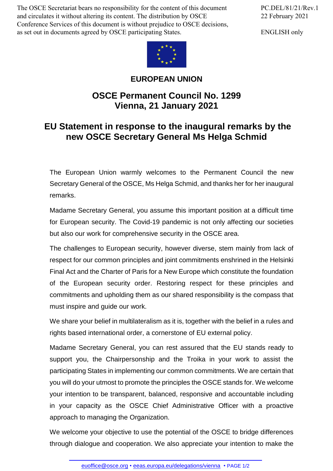The OSCE Secretariat bears no responsibility for the content of this document and circulates it without altering its content. The distribution by OSCE Conference Services of this document is without prejudice to OSCE decisions, as set out in documents agreed by OSCE participating States.



ENGLISH only



## **EUROPEAN UNION**

## **OSCE Permanent Council No. 1299 Vienna, 21 January 2021**

## **EU Statement in response to the inaugural remarks by the new OSCE Secretary General Ms Helga Schmid**

The European Union warmly welcomes to the Permanent Council the new Secretary General of the OSCE, Ms Helga Schmid, and thanks her for her inaugural remarks.

Madame Secretary General, you assume this important position at a difficult time for European security. The Covid-19 pandemic is not only affecting our societies but also our work for comprehensive security in the OSCE area.

The challenges to European security, however diverse, stem mainly from lack of respect for our common principles and joint commitments enshrined in the Helsinki Final Act and the Charter of Paris for a New Europe which constitute the foundation of the European security order. Restoring respect for these principles and commitments and upholding them as our shared responsibility is the compass that must inspire and guide our work.

We share your belief in multilateralism as it is, together with the belief in a rules and rights based international order, a cornerstone of EU external policy.

Madame Secretary General, you can rest assured that the EU stands ready to support you, the Chairpersonship and the Troika in your work to assist the participating States in implementing our common commitments. We are certain that you will do your utmost to promote the principles the OSCE stands for. We welcome your intention to be transparent, balanced, responsive and accountable including in your capacity as the OSCE Chief Administrative Officer with a proactive approach to managing the Organization.

We welcome your objective to use the potential of the OSCE to bridge differences through di[alogue](mailto:euoffice@osce.org) and cooperation. We also [appreciate](http://eeas.europa.eu/delegations/vienna) your intention to make the